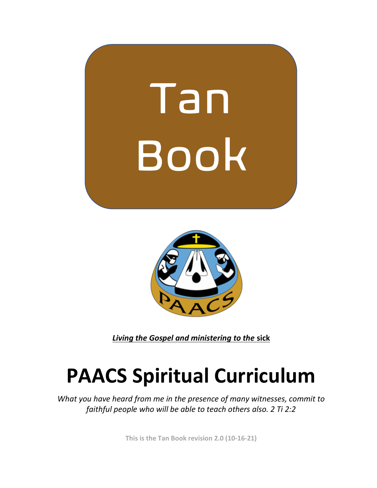



*Living the Gospel and ministering to the* **sick** 

## **PAACS Spiritual Curriculum**

*What you have heard from me in the presence of many witnesses, commit to faithful people who will be able to teach others also. 2 Ti 2:2* 

**This is the Tan Book revision 2.0 (10-16-21)**